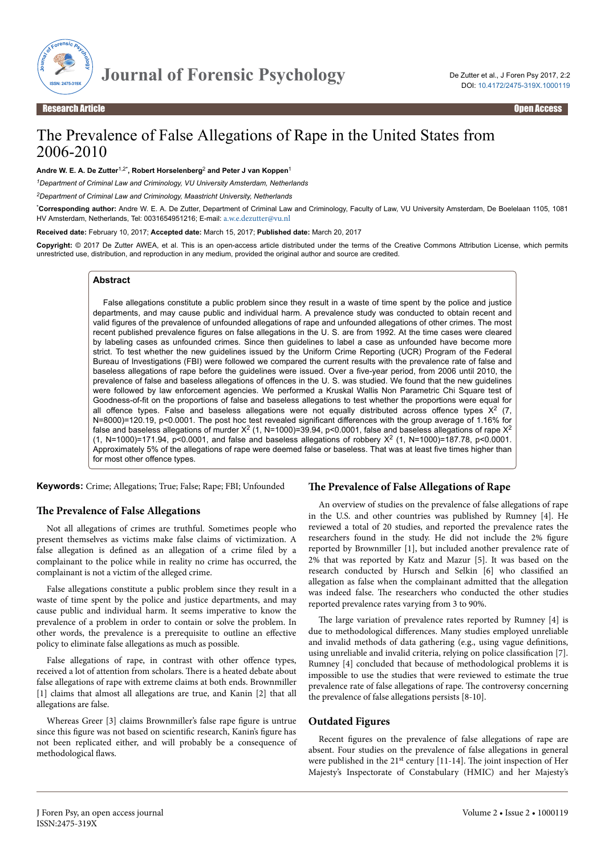

# The Prevalence of False Allegations of Rape in the United States from 2006-2010

#### **Andre W. E. A. De Zutter**1,2\***, Robert Horselenberg**<sup>2</sup>  **and Peter J van Koppen**<sup>1</sup>

*<sup>1</sup>Department of Criminal Law and Criminology, VU University Amsterdam, Netherlands*

*<sup>2</sup>Department of Criminal Law and Criminology, Maastricht University, Netherlands*

\***Corresponding author:** Andre W. E. A. De Zutter, Department of Criminal Law and Criminology, Faculty of Law, VU University Amsterdam, De Boelelaan 1105, 1081 HV Amsterdam, Netherlands, Tel: 0031654951216; E-mail: [a.w.e.dezutter@vu.nl](mailto:a.w.e.dezutter@vu.nl)

**Received date:** February 10, 2017; **Accepted date:** March 15, 2017; **Published date:** March 20, 2017

**Copyright:** © 2017 De Zutter AWEA, et al. This is an open-access article distributed under the terms of the Creative Commons Attribution License, which permits unrestricted use, distribution, and reproduction in any medium, provided the original author and source are credited.

### **Abstract**

False allegations constitute a public problem since they result in a waste of time spent by the police and justice departments, and may cause public and individual harm. A prevalence study was conducted to obtain recent and valid figures of the prevalence of unfounded allegations of rape and unfounded allegations of other crimes. The most recent published prevalence figures on false allegations in the U. S. are from 1992. At the time cases were cleared by labeling cases as unfounded crimes. Since then guidelines to label a case as unfounded have become more strict. To test whether the new guidelines issued by the Uniform Crime Reporting (UCR) Program of the Federal Bureau of Investigations (FBI) were followed we compared the current results with the prevalence rate of false and baseless allegations of rape before the guidelines were issued. Over a five-year period, from 2006 until 2010, the prevalence of false and baseless allegations of offences in the U. S. was studied. We found that the new guidelines were followed by law enforcement agencies. We performed a Kruskal Wallis Non Parametric Chi Square test of Goodness-of-fit on the proportions of false and baseless allegations to test whether the proportions were equal for all offence types. False and baseless allegations were not equally distributed across offence types  $X^2$  (7, N=8000)=120.19, p<0.0001. The post hoc test revealed significant differences with the group average of 1.16% for false and baseless allegations of murder X<sup>2</sup> (1, N=1000)=39.94, p<0.0001, false and baseless allegations of rape X<sup>2</sup> (1, N=1000)=171.94, p<0.0001, and false and baseless allegations of robbery  $X^2$  (1, N=1000)=187.78, p<0.0001. Approximately 5% of the allegations of rape were deemed false or baseless. That was at least five times higher than for most other offence types.

**Keywords:** Crime; Allegations; True; False; Rape; FBI; Unfounded

### **The Prevalence of False Allegations**

Not all allegations of crimes are truthful. Sometimes people who present themselves as victims make false claims of victimization. A false allegation is defined as an allegation of a crime filed by a complainant to the police while in reality no crime has occurred, the complainant is not a victim of the alleged crime.

False allegations constitute a public problem since they result in a waste of time spent by the police and justice departments, and may cause public and individual harm. It seems imperative to know the prevalence of a problem in order to contain or solve the problem. In other words, the prevalence is a prerequisite to outline an effective policy to eliminate false allegations as much as possible.

False allegations of rape, in contrast with other offence types, received a lot of attention from scholars. Нere is a heated debate about false allegations of rape with extreme claims at both ends. Brownmiller [1] claims that almost all allegations are true, and Kanin [2] that all allegations are false.

Whereas Greer [3] claims Brownmiller's false rape figure is untrue since this figure was not based on scientific research, Kanin's figure has not been replicated either, and will probably be a consequence of methodological flaws.

### **The Prevalence of False Allegations of Rape**

An overview of studies on the prevalence of false allegations of rape in the U.S. and other countries was published by Rumney [4]. He reviewed a total of 20 studies, and reported the prevalence rates the researchers found in the study. He did not include the 2% figure reported by Brownmiller [1], but included another prevalence rate of 2% that was reported by Katz and Mazur [5]. It was based on the research conducted by Hursch and Selkin [6] who classified an allegation as false when the complainant admitted that the allegation was indeed false. Нe researchers who conducted the other studies reported prevalence rates varying from 3 to 90%.

The large variation of prevalence rates reported by Rumney [4] is due to methodological differences. Many studies employed unreliable and invalid methods of data gathering (e.g., using vague definitions, using unreliable and invalid criteria, relying on police classification [7]. Rumney [4] concluded that because of methodological problems it is impossible to use the studies that were reviewed to estimate the true prevalence rate of false allegations of rape. Нe controversy concerning the prevalence of false allegations persists [8-10].

### **Outdated Figures**

Recent figures on the prevalence of false allegations of rape are absent. Four studies on the prevalence of false allegations in general were published in the 21<sup>st</sup> century [11-14]. The joint inspection of Her Majesty's Inspectorate of Constabulary (HMIC) and her Majesty's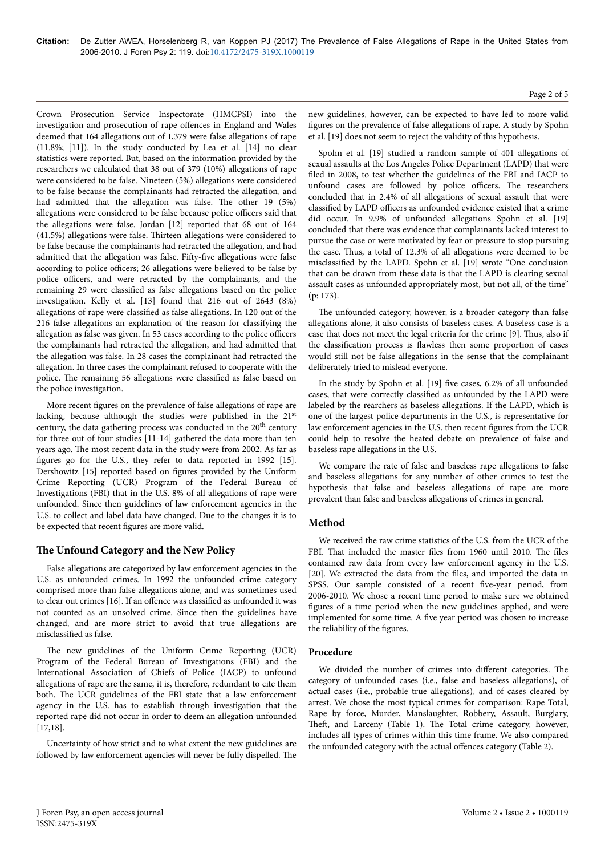Crown Prosecution Service Inspectorate (HMCPSI) into the investigation and prosecution of rape offences in England and Wales deemed that 164 allegations out of 1,379 were false allegations of rape (11.8%; [11]). In the study conducted by Lea et al. [14] no clear statistics were reported. But, based on the information provided by the researchers we calculated that 38 out of 379 (10%) allegations of rape were considered to be false. Nineteen (5%) allegations were considered to be false because the complainants had retracted the allegation, and had admitted that the allegation was false. The other 19 (5%) allegations were considered to be false because police officers said that the allegations were false. Jordan [12] reported that 68 out of 164 (41.5%) allegations were false. Нirteen allegations were considered to be false because the complainants had retracted the allegation, and had admitted that the allegation was false. Fifty-five allegations were false according to police officers; 26 allegations were believed to be false by police officers, and were retracted by the complainants, and the remaining 29 were classified as false allegations based on the police investigation. Kelly et al. [13] found that 216 out of 2643 (8%) allegations of rape were classified as false allegations. In 120 out of the 216 false allegations an explanation of the reason for classifying the allegation as false was given. In 53 cases according to the police officers the complainants had retracted the allegation, and had admitted that the allegation was false. In 28 cases the complainant had retracted the allegation. In three cases the complainant refused to cooperate with the police. The remaining 56 allegations were classified as false based on the police investigation.

More recent figures on the prevalence of false allegations of rape are lacking, because although the studies were published in the 21st century, the data gathering process was conducted in the 20<sup>th</sup> century for three out of four studies [11-14] gathered the data more than ten years ago. Нe most recent data in the study were from 2002. As far as figures go for the U.S., they refer to data reported in 1992 [15]. Dershowitz [15] reported based on figures provided by the Uniform Crime Reporting (UCR) Program of the Federal Bureau of Investigations (FBI) that in the U.S. 8% of all allegations of rape were unfounded. Since then guidelines of law enforcement agencies in the U.S. to collect and label data have changed. Due to the changes it is to be expected that recent figures are more valid.

### **The Unfound Category and the New Policy**

False allegations are categorized by law enforcement agencies in the U.S. as unfounded crimes. In 1992 the unfounded crime category comprised more than false allegations alone, and was sometimes used to clear out crimes [16]. If an offence was classified as unfounded it was not counted as an unsolved crime. Since then the guidelines have changed, and are more strict to avoid that true allegations are misclassified as false.

The new guidelines of the Uniform Crime Reporting (UCR) Program of the Federal Bureau of Investigations (FBI) and the International Association of Chiefs of Police (IACP) to unfound allegations of rape are the same, it is, therefore, redundant to cite them both. Нe UCR guidelines of the FBI state that a law enforcement agency in the U.S. has to establish through investigation that the reported rape did not occur in order to deem an allegation unfounded [17,18].

Uncertainty of how strict and to what extent the new guidelines are followed by law enforcement agencies will never be fully dispelled. Нe

new guidelines, however, can be expected to have led to more valid figures on the prevalence of false allegations of rape. A study by Spohn et al. [19] does not seem to reject the validity of this hypothesis.

Spohn et al. [19] studied a random sample of 401 allegations of sexual assaults at the Los Angeles Police Department (LAPD) that were filed in 2008, to test whether the guidelines of the FBI and IACP to unfound cases are followed by police officers. The researchers concluded that in 2.4% of all allegations of sexual assault that were classified by LAPD officers as unfounded evidence existed that a crime did occur. In 9.9% of unfounded allegations Spohn et al. [19] concluded that there was evidence that complainants lacked interest to pursue the case or were motivated by fear or pressure to stop pursuing the case. Нus, a total of 12.3% of all allegations were deemed to be misclassified by the LAPD. Spohn et al. [19] wrote "One conclusion that can be drawn from these data is that the LAPD is clearing sexual assault cases as unfounded appropriately most, but not all, of the time" (p: 173).

The unfounded category, however, is a broader category than false allegations alone, it also consists of baseless cases. A baseless case is a case that does not meet the legal criteria for the crime [9]. Нus, also if the classification process is flawless then some proportion of cases would still not be false allegations in the sense that the complainant deliberately tried to mislead everyone.

In the study by Spohn et al. [19] five cases, 6.2% of all unfounded cases, that were correctly classified as unfounded by the LAPD were labeled by the rearchers as baseless allegations. If the LAPD, which is one of the largest police departments in the U.S., is representative for law enforcement agencies in the U.S. then recent figures from the UCR could help to resolve the heated debate on prevalence of false and baseless rape allegations in the U.S.

We compare the rate of false and baseless rape allegations to false and baseless allegations for any number of other crimes to test the hypothesis that false and baseless allegations of rape are more prevalent than false and baseless allegations of crimes in general.

### **Method**

We received the raw crime statistics of the U.S. from the UCR of the FBI. That included the master files from 1960 until 2010. The files contained raw data from every law enforcement agency in the U.S. [20]. We extracted the data from the files, and imported the data in SPSS. Our sample consisted of a recent five-year period, from 2006-2010. We chose a recent time period to make sure we obtained figures of a time period when the new guidelines applied, and were implemented for some time. A five year period was chosen to increase the reliability of the figures.

### **Procedure**

We divided the number of crimes into different categories. The category of unfounded cases (i.e., false and baseless allegations), of actual cases (i.e., probable true allegations), and of cases cleared by arrest. We chose the most typical crimes for comparison: Rape Total, Rape by force, Murder, Manslaughter, Robbery, Assault, Burglary, Theft, and Larceny (Table 1). The Total crime category, however, includes all types of crimes within this time frame. We also compared the unfounded category with the actual offences category (Table 2).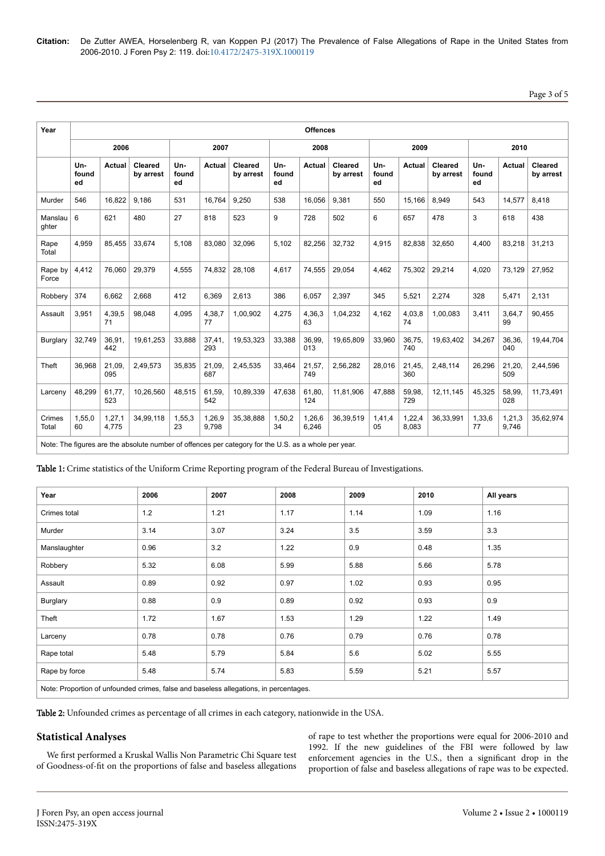## Page 3 of 5

| Year             | <b>Offences</b>    |                 |                      |                    |                 |                      |                    |                 |                      |                    |                 |                      |                    |                 |                             |
|------------------|--------------------|-----------------|----------------------|--------------------|-----------------|----------------------|--------------------|-----------------|----------------------|--------------------|-----------------|----------------------|--------------------|-----------------|-----------------------------|
|                  | 2006               |                 |                      | 2007               |                 |                      | 2008               |                 |                      | 2009               |                 |                      | 2010               |                 |                             |
|                  | Un-<br>found<br>ed | Actual          | Cleared<br>by arrest | Un-<br>found<br>ed | Actual          | Cleared<br>by arrest | Un-<br>found<br>ed | Actual          | Cleared<br>by arrest | Un-<br>found<br>ed | Actual          | Cleared<br>by arrest | Un-<br>found<br>ed | <b>Actual</b>   | <b>Cleared</b><br>by arrest |
| Murder           | 546                | 16,822          | 9,186                | 531                | 16,764          | 9,250                | 538                | 16.056          | 9,381                | 550                | 15,166          | 8,949                | 543                | 14,577          | 8,418                       |
| Manslau<br>ghter | 6                  | 621             | 480                  | 27                 | 818             | 523                  | 9                  | 728             | 502                  | 6                  | 657             | 478                  | 3                  | 618             | 438                         |
| Rape<br>Total    | 4,959              | 85,455          | 33,674               | 5,108              | 83,080          | 32,096               | 5,102              | 82,256          | 32,732               | 4,915              | 82,838          | 32,650               | 4,400              | 83,218          | 31,213                      |
| Rape by<br>Force | 4,412              | 76.060          | 29.379               | 4,555              | 74.832          | 28.108               | 4,617              | 74,555          | 29,054               | 4,462              | 75,302          | 29,214               | 4.020              | 73.129          | 27,952                      |
| Robbery          | 374                | 6.662           | 2.668                | 412                | 6,369           | 2.613                | 386                | 6,057           | 2,397                | 345                | 5,521           | 2.274                | 328                | 5,471           | 2.131                       |
| Assault          | 3,951              | 4,39,5<br>71    | 98,048               | 4,095              | 4,38,7<br>77    | 1,00,902             | 4,275              | 4,36,3<br>63    | 1,04,232             | 4,162              | 4,03,8<br>74    | 1,00,083             | 3,411              | 3,64,7<br>99    | 90,455                      |
| Burglary         | 32,749             | 36,91,<br>442   | 19,61,253            | 33,888             | 37,41,<br>293   | 19,53,323            | 33,388             | 36,99,<br>013   | 19,65,809            | 33,960             | 36,75,<br>740   | 19,63,402            | 34,267             | 36,36,<br>040   | 19,44,704                   |
| Theft            | 36,968             | 21,09,<br>095   | 2,49,573             | 35,835             | 21,09,<br>687   | 2,45,535             | 33,464             | 21,57,<br>749   | 2,56,282             | 28,016             | 21,45,<br>360   | 2,48,114             | 26,296             | 21,20,<br>509   | 2,44,596                    |
| Larceny          | 48,299             | 61,77,<br>523   | 10,26,560            | 48,515             | 61,59,<br>542   | 10,89,339            | 47,638             | 61,80,<br>124   | 11.81.906            | 47,888             | 59,98,<br>729   | 12, 11, 145          | 45,325             | 58,99,<br>028   | 11,73,491                   |
| Crimes<br>Total  | 1,55,0<br>60       | 1,27,1<br>4,775 | 34,99,118            | 1,55,3<br>23       | 1,26,9<br>9,798 | 35,38,888            | 1,50,2<br>34       | 1,26,6<br>6,246 | 36,39,519            | 1,41,4<br>05       | 1,22,4<br>8,083 | 36,33,991            | 1,33,6<br>77       | 1,21,3<br>9,746 | 35,62,974                   |

Note: The figures are the absolute number of offences per category for the U.S. as a whole per year.

Table 1: Crime statistics of the Uniform Crime Reporting program of the Federal Bureau of Investigations.

| Year                                                                                  | 2006  | 2007 | 2008 | 2009 | 2010 | All years |  |  |  |
|---------------------------------------------------------------------------------------|-------|------|------|------|------|-----------|--|--|--|
| Crimes total                                                                          | $1.2$ | 1.21 | 1.17 | 1.14 | 1.09 | 1.16      |  |  |  |
| Murder                                                                                | 3.14  | 3.07 | 3.24 | 3.5  | 3.59 | 3.3       |  |  |  |
| Manslaughter                                                                          | 0.96  | 3.2  | 1.22 | 0.9  | 0.48 | 1.35      |  |  |  |
| Robbery                                                                               | 5.32  | 6.08 | 5.99 | 5.88 | 5.66 | 5.78      |  |  |  |
| Assault                                                                               | 0.89  | 0.92 | 0.97 | 1.02 | 0.93 | 0.95      |  |  |  |
| Burglary                                                                              | 0.88  | 0.9  | 0.89 | 0.92 | 0.93 | 0.9       |  |  |  |
| Theft                                                                                 | 1.72  | 1.67 | 1.53 | 1.29 | 1.22 | 1.49      |  |  |  |
| Larceny                                                                               | 0.78  | 0.78 | 0.76 | 0.79 | 0.76 | 0.78      |  |  |  |
| Rape total                                                                            | 5.48  | 5.79 | 5.84 | 5.6  | 5.02 | 5.55      |  |  |  |
| Rape by force                                                                         | 5.48  | 5.74 | 5.83 | 5.59 | 5.21 | 5.57      |  |  |  |
| Note: Proportion of unfounded crimes, false and baseless allegations, in percentages. |       |      |      |      |      |           |  |  |  |

Table 2: Unfounded crimes as percentage of all crimes in each category, nationwide in the USA.

### **Statistical Analyses**

We first performed a Kruskal Wallis Non Parametric Chi Square test of Goodness-of-fit on the proportions of false and baseless allegations

of rape to test whether the proportions were equal for 2006-2010 and 1992. If the new guidelines of the FBI were followed by law enforcement agencies in the U.S., then a significant drop in the proportion of false and baseless allegations of rape was to be expected.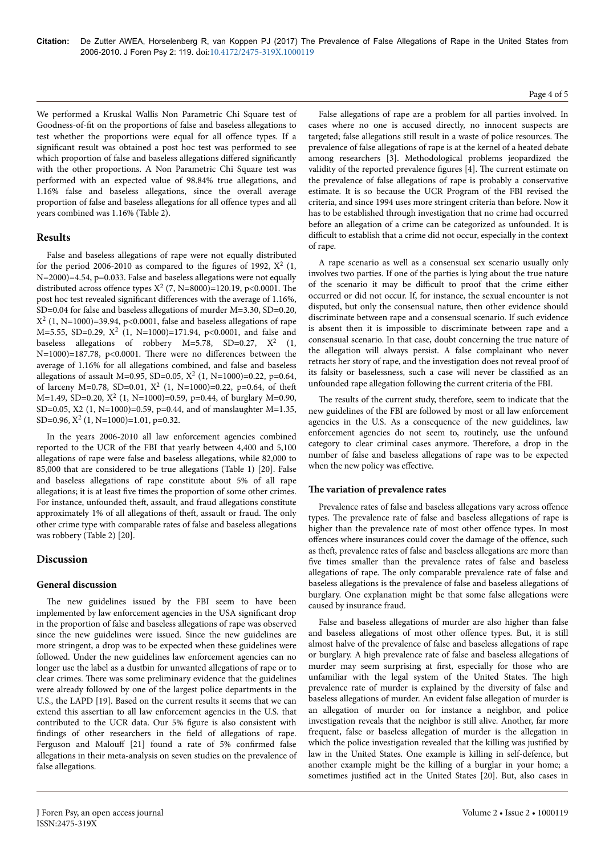We performed a Kruskal Wallis Non Parametric Chi Square test of Goodness-of-fit on the proportions of false and baseless allegations to test whether the proportions were equal for all offence types. If a significant result was obtained a post hoc test was performed to see which proportion of false and baseless allegations differed significantly with the other proportions. A Non Parametric Chi Square test was performed with an expected value of 98.84% true allegations, and 1.16% false and baseless allegations, since the overall average proportion of false and baseless allegations for all offence types and all years combined was 1.16% (Table 2).

### **Results**

False and baseless allegations of rape were not equally distributed for the period 2006-2010 as compared to the figures of 1992,  $X^2$  (1, N=2000)=4.54, p=0.033. False and baseless allegations were not equally distributed across offence types  $X^2$  (7, N=8000)=120.19, p<0.0001. The post hoc test revealed significant differences with the average of 1.16%, SD=0.04 for false and baseless allegations of murder M=3.30, SD=0.20,  $X^2$  (1, N=1000)=39.94, p<0.0001, false and baseless allegations of rape M=5.55, SD=0.29,  $X^2$  (1, N=1000)=171.94, p<0.0001, and false and baseless allegations of robbery  $M=5.78$ , SD=0.27,  $X^2$  (1,  $N=1000$ )=187.78, p<0.0001. There were no differences between the average of 1.16% for all allegations combined, and false and baseless allegations of assault M=0.95, SD=0.05,  $X^2$  (1, N=1000)=0.22, p=0.64, of larceny M=0.78, SD=0.01,  $X^2$  (1, N=1000)=0.22, p=0.64, of theft  $M=1.49$ , SD=0.20,  $X^2$  (1, N=1000)=0.59, p=0.44, of burglary M=0.90, SD=0.05, X2 (1, N=1000)=0.59, p=0.44, and of manslaughter M=1.35,  $SD=0.96$ ,  $X^2$  (1, N=1000)=1.01, p=0.32.

In the years 2006-2010 all law enforcement agencies combined reported to the UCR of the FBI that yearly between 4,400 and 5,100 allegations of rape were false and baseless allegations, while 82,000 to 85,000 that are considered to be true allegations (Table 1) [20]. False and baseless allegations of rape constitute about 5% of all rape allegations; it is at least five times the proportion of some other crimes. For instance, unfounded theft, assault, and fraud allegations constitute approximately 1% of all allegations of theft, assault or fraud. The only other crime type with comparable rates of false and baseless allegations was robbery (Table 2) [20].

### **Discussion**

### **General discussion**

The new guidelines issued by the FBI seem to have been implemented by law enforcement agencies in the USA significant drop in the proportion of false and baseless allegations of rape was observed since the new guidelines were issued. Since the new guidelines are more stringent, a drop was to be expected when these guidelines were followed. Under the new guidelines law enforcement agencies can no longer use the label as a dustbin for unwanted allegations of rape or to clear crimes. Нere was some preliminary evidence that the guidelines were already followed by one of the largest police departments in the U.S., the LAPD [19]. Based on the current results it seems that we can extend this assertian to all law enforcement agencies in the U.S. that contributed to the UCR data. Our 5% figure is also consistent with findings of other researchers in the field of allegations of rape. Ferguson and Malouff [21] found a rate of 5% confirmed false allegations in their meta-analysis on seven studies on the prevalence of false allegations.

False allegations of rape are a problem for all parties involved. In cases where no one is accused directly, no innocent suspects are targeted; false allegations still result in a waste of police resources. Нe prevalence of false allegations of rape is at the kernel of a heated debate among researchers [3]. Methodological problems jeopardized the validity of the reported prevalence figures [4]. Нe current estimate on the prevalence of false allegations of rape is probably a conservative estimate. It is so because the UCR Program of the FBI revised the criteria, and since 1994 uses more stringent criteria than before. Now it has to be established through investigation that no crime had occurred before an allegation of a crime can be categorized as unfounded. It is difficult to establish that a crime did not occur, especially in the context of rape.

A rape scenario as well as a consensual sex scenario usually only involves two parties. If one of the parties is lying about the true nature of the scenario it may be difficult to proof that the crime either occurred or did not occur. If, for instance, the sexual encounter is not disputed, but only the consensual nature, then other evidence should discriminate between rape and a consensual scenario. If such evidence is absent then it is impossible to discriminate between rape and a consensual scenario. In that case, doubt concerning the true nature of the allegation will always persist. A false complainant who never retracts her story of rape, and the investigation does not reveal proof of its falsity or baselessness, such a case will never be classified as an unfounded rape allegation following the current criteria of the FBI.

The results of the current study, therefore, seem to indicate that the new guidelines of the FBI are followed by most or all law enforcement agencies in the U.S. As a consequence of the new guidelines, law enforcement agencies do not seem to, routinely, use the unfound category to clear criminal cases anymore. Нerefore, a drop in the number of false and baseless allegations of rape was to be expected when the new policy was effective.

### **The variation of prevalence rates**

Prevalence rates of false and baseless allegations vary across offence types. Нe prevalence rate of false and baseless allegations of rape is higher than the prevalence rate of most other offence types. In most offences where insurances could cover the damage of the offence, such as theft, prevalence rates of false and baseless allegations are more than five times smaller than the prevalence rates of false and baseless allegations of rape. Нe only comparable prevalence rate of false and baseless allegations is the prevalence of false and baseless allegations of burglary. One explanation might be that some false allegations were caused by insurance fraud.

False and baseless allegations of murder are also higher than false and baseless allegations of most other offence types. But, it is still almost halve of the prevalence of false and baseless allegations of rape or burglary. A high prevalence rate of false and baseless allegations of murder may seem surprising at first, especially for those who are unfamiliar with the legal system of the United States. Нe high prevalence rate of murder is explained by the diversity of false and baseless allegations of murder. An evident false allegation of murder is an allegation of murder on for instance a neighbor, and police investigation reveals that the neighbor is still alive. Another, far more frequent, false or baseless allegation of murder is the allegation in which the police investigation revealed that the killing was justified by law in the United States. One example is killing in self-defence, but another example might be the killing of a burglar in your home; a sometimes justified act in the United States [20]. But, also cases in